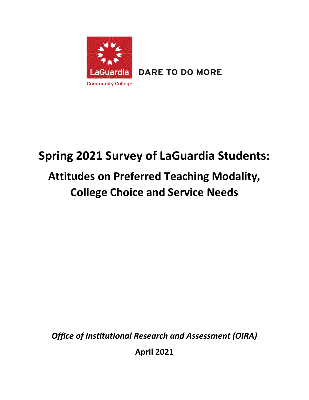

**DARE TO DO MORE** 

# **Spring 2021 Survey of LaGuardia Students: Attitudes on Preferred Teaching Modality,**

# **College Choice and Service Needs**

*Office of Institutional Research and Assessment (OIRA)*

**April 2021**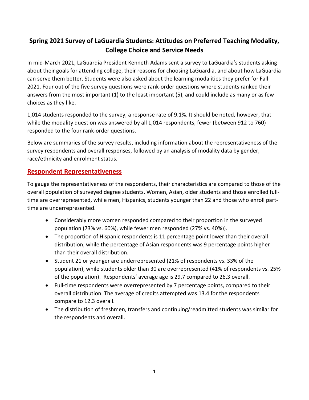# **Spring 2021 Survey of LaGuardia Students: Attitudes on Preferred Teaching Modality, College Choice and Service Needs**

In mid-March 2021, LaGuardia President Kenneth Adams sent a survey to LaGuardia's students asking about their goals for attending college, their reasons for choosing LaGuardia, and about how LaGuardia can serve them better. Students were also asked about the learning modalities they prefer for Fall 2021. Four out of the five survey questions were rank-order questions where students ranked their answers from the most important (1) to the least important (5), and could include as many or as few choices as they like.

1,014 students responded to the survey, a response rate of 9.1%. It should be noted, however, that while the modality question was answered by all 1,014 respondents, fewer (between 912 to 760) responded to the four rank-order questions.

Below are summaries of the survey results, including information about the representativeness of the survey respondents and overall responses, followed by an analysis of modality data by gender, race/ethnicity and enrolment status.

#### **Respondent Representativeness**

To gauge the representativeness of the respondents, their characteristics are compared to those of the overall population of surveyed degree students. Women, Asian, older students and those enrolled fulltime are overrepresented, while men, Hispanics, students younger than 22 and those who enroll parttime are underrepresented.

- Considerably more women responded compared to their proportion in the surveyed population (73% vs. 60%), while fewer men responded (27% vs. 40%)).
- The proportion of Hispanic respondents is 11 percentage point lower than their overall distribution, while the percentage of Asian respondents was 9 percentage points higher than their overall distribution.
- Student 21 or younger are underrepresented (21% of respondents vs. 33% of the population), while students older than 30 are overrepresented (41% of respondents vs. 25% of the population). Respondents' average age is 29.7 compared to 26.3 overall.
- Full-time respondents were overrepresented by 7 percentage points, compared to their overall distribution. The average of credits attempted was 13.4 for the respondents compare to 12.3 overall.
- The distribution of freshmen, transfers and continuing/readmitted students was similar for the respondents and overall.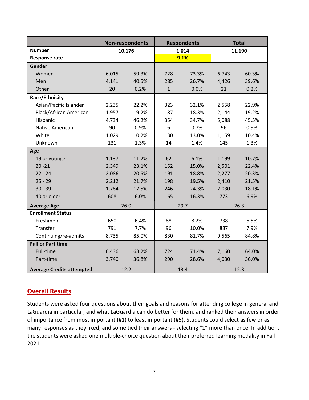|                                  | Non-respondents |       |              | <b>Respondents</b> | <b>Total</b> |       |
|----------------------------------|-----------------|-------|--------------|--------------------|--------------|-------|
| <b>Number</b>                    | 10,176          |       |              | 1,014              | 11,190       |       |
| <b>Response rate</b>             |                 |       |              | 9.1%               |              |       |
| Gender                           |                 |       |              |                    |              |       |
| Women                            | 6,015           | 59.3% | 728          | 73.3%              | 6,743        | 60.3% |
| Men                              | 4,141           | 40.5% | 285          | 26.7%              | 4,426        | 39.6% |
| Other                            | 20              | 0.2%  | $\mathbf{1}$ | 0.0%               | 21           | 0.2%  |
| Race/Ethnicity                   |                 |       |              |                    |              |       |
| Asian/Pacific Islander           | 2,235           | 22.2% | 323          | 32.1%              | 2,558        | 22.9% |
| <b>Black/African American</b>    | 1,957           | 19.2% | 187          | 18.3%              | 2,144        | 19.2% |
| Hispanic                         | 4,734           | 46.2% | 354          | 34.7%              | 5,088        | 45.5% |
| Native American                  | 90              | 0.9%  | 6<br>0.7%    |                    | 96           | 0.9%  |
| White                            | 1,029           | 10.2% | 130          | 13.0%              | 1,159        | 10.4% |
| Unknown                          | 131             | 1.3%  | 14           | 1.4%               | 145          | 1.3%  |
| Age                              |                 |       |              |                    |              |       |
| 19 or younger                    | 1,137           | 11.2% | 62           | 6.1%               | 1,199        | 10.7% |
| $20 - 21$                        | 2,349           | 23.1% | 152          | 15.0%              | 2,501        | 22.4% |
| $22 - 24$                        | 2,086           | 20.5% | 191          | 18.8%              | 2,277        | 20.3% |
| $25 - 29$                        | 2,212           | 21.7% | 198          | 19.5%              | 2,410        | 21.5% |
| $30 - 39$                        | 1,784           | 17.5% | 246          | 24.3%              | 2,030        | 18.1% |
| 40 or older                      | 608             | 6.0%  | 165          | 16.3%              | 773          | 6.9%  |
| <b>Average Age</b>               |                 | 26.0  | 29.7         |                    | 26.3         |       |
| <b>Enrollment Status</b>         |                 |       |              |                    |              |       |
| Freshmen                         | 650             | 6.4%  | 88           | 8.2%               | 738          | 6.5%  |
| Transfer                         | 791             | 7.7%  | 96           | 10.0%              | 887          | 7.9%  |
| Continuing/re-admits             | 8,735           | 85.0% | 830          | 81.7%              | 9,565        | 84.8% |
| <b>Full or Part time</b>         |                 |       |              |                    |              |       |
| Full-time                        | 6,436           | 63.2% | 724          | 71.4%              | 7,160        | 64.0% |
| Part-time                        | 3,740           | 36.8% | 290          | 28.6%              | 4,030        | 36.0% |
| <b>Average Credits attempted</b> | 12.2            |       |              | 13.4               |              | 12.3  |

## **Overall Results**

Students were asked four questions about their goals and reasons for attending college in general and LaGuardia in particular, and what LaGuardia can do better for them, and ranked their answers in order of importance from most important (#1) to least important (#5). Students could select as few or as many responses as they liked, and some tied their answers - selecting "1" more than once. In addition, the students were asked one multiple-choice question about their preferred learning modality in Fall 2021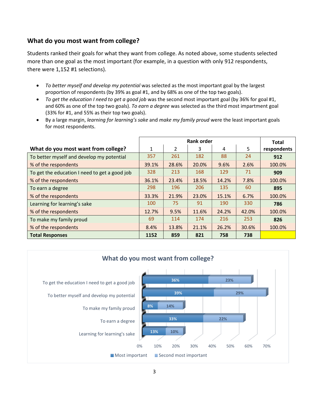### **What do you most want from college?**

Students ranked their goals for what they want from college. As noted above, some students selected more than one goal as the most important (for example, in a question with only 912 respondents, there were 1,152 #1 selections).

- *To better myself and develop my potential* was selected as the most important goal by the largest proportion of respondents (by 39% as goal #1, and by 68% as one of the top two goals).
- *To get the education I need to get a good job* was the second most important goal (by 36% for goal #1, and 60% as one of the top two goals). *To earn a degree* was selected as the third most impartment goal (33% for #1, and 55% as their top two goals).
- By a large margin, *learning for learning's sake* and *make my family proud* were the least important goals for most respondents.

|                                               |              | <b>Total</b>   |       |       |       |             |
|-----------------------------------------------|--------------|----------------|-------|-------|-------|-------------|
| What do you most want from college?           | $\mathbf{1}$ | $\mathfrak{p}$ | 3     | 4     | 5     | respondents |
| To better myself and develop my potential     | 357          | 261            | 182   | 88    | 24    | 912         |
| % of the respondents                          | 39.1%        | 28.6%          | 20.0% | 9.6%  | 2.6%  | 100.0%      |
| To get the education I need to get a good job | 328          | 213            | 168   | 129   | 71    | 909         |
| % of the respondents                          | 36.1%        | 23.4%          | 18.5% | 14.2% | 7.8%  | 100.0%      |
| To earn a degree                              | 298          | 196            | 206   | 135   | 60    | 895         |
| % of the respondents                          | 33.3%        | 21.9%          | 23.0% | 15.1% | 6.7%  | 100.0%      |
| Learning for learning's sake                  | 100          | 75             | 91    | 190   | 330   | 786         |
| % of the respondents                          | 12.7%        | 9.5%           | 11.6% | 24.2% | 42.0% | 100.0%      |
| To make my family proud                       | 69           | 114            | 174   | 216   | 253   | 826         |
| % of the respondents                          | 8.4%         | 13.8%          | 21.1% | 26.2% | 30.6% | 100.0%      |
| <b>Total Responses</b>                        | 1152         | 859            | 821   | 758   | 738   |             |

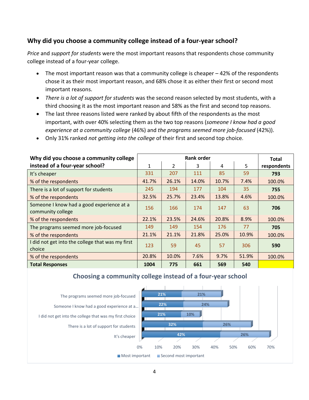#### **Why did you choose a community college instead of a four-year school?**

*Price* and *support for students* were the most important reasons that respondents chose community college instead of a four-year college.

- The most important reason was that a community college is cheaper  $-42%$  of the respondents chose it as their most important reason, and 68% chose it as either their first or second most important reasons.
- *There is a lot of support for students* was the second reason selected by most students, with a third choosing it as the most important reason and 58% as the first and second top reasons.
- The last three reasons listed were ranked by about fifth of the respondents as the most important, with over 40% selecting them as the two top reasons (*someone I know had a good experience at a community college* (46%) and *the programs seemed more job-focused* (42%)).
- Only 31% ranked *not getting into the college* of their first and second top choice.

| Why did you choose a community college                         |       | <b>Total</b>   |       |       |       |             |
|----------------------------------------------------------------|-------|----------------|-------|-------|-------|-------------|
| instead of a four-year school?                                 | 1     | $\overline{2}$ | 3     | 4     | 5     | respondents |
| It's cheaper                                                   | 331   | 207            | 111   | 85    | 59    | 793         |
| % of the respondents                                           | 41.7% | 26.1%          | 14.0% | 10.7% | 7.4%  | 100.0%      |
| There is a lot of support for students                         | 245   | 194            | 177   | 104   | 35    | 755         |
| % of the respondents                                           | 32.5% | 25.7%          | 23.4% | 13.8% | 4.6%  | 100.0%      |
| Someone I know had a good experience at a<br>community college | 156   | 166            | 174   | 147   | 63    | 706         |
| % of the respondents                                           | 22.1% | 23.5%          | 24.6% | 20.8% | 8.9%  | 100.0%      |
| The programs seemed more job-focused                           | 149   | 149            | 154   | 176   | 77    | 705         |
| % of the respondents                                           | 21.1% | 21.1%          | 21.8% | 25.0% | 10.9% | 100.0%      |
| I did not get into the college that was my first<br>choice     | 123   | 59             | 45    | 57    | 306   | 590         |
| % of the respondents                                           | 20.8% | 10.0%          | 7.6%  | 9.7%  | 51.9% | 100.0%      |
| <b>Total Responses</b>                                         | 1004  | 775            | 661   | 569   | 540   |             |

#### **Choosing a community college instead of a four-year school**

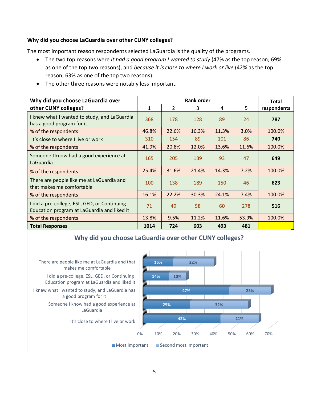#### **Why did you choose LaGuardia over other CUNY colleges?**

The most important reason respondents selected LaGuardia is the quality of the programs.

- The two top reasons were *it had a good program I wanted to study* (47% as the top reason; 69% as one of the top two reasons), and *because it is close to where I work or live* (42% as the top reason; 63% as one of the top two reasons).
- The other three reasons were notably less important.

| Why did you choose LaGuardia over                                                           |             | <b>Total</b>   |       |       |       |             |
|---------------------------------------------------------------------------------------------|-------------|----------------|-------|-------|-------|-------------|
| other CUNY colleges?                                                                        | $\mathbf 1$ | $\overline{2}$ | 3     | 4     | 5     | respondents |
| I knew what I wanted to study, and LaGuardia<br>has a good program for it                   | 368         | 178            | 128   | 89    | 24    | 787         |
| % of the respondents                                                                        | 46.8%       | 22.6%          | 16.3% | 11.3% | 3.0%  | 100.0%      |
| It's close to where I live or work                                                          | 310         | 154            | 89    | 101   | 86    | 740         |
| % of the respondents                                                                        | 41.9%       | 20.8%          | 12.0% | 13.6% | 11.6% | 100.0%      |
| Someone I know had a good experience at<br>LaGuardia                                        | 165         | 205            | 139   | 93    | 47    | 649         |
| % of the respondents                                                                        | 25.4%       | 31.6%          | 21.4% | 14.3% | 7.2%  | 100.0%      |
| There are people like me at LaGuardia and<br>that makes me comfortable                      | 100         | 138            | 189   | 150   | 46    | 623         |
| % of the respondents                                                                        | 16.1%       | 22.2%          | 30.3% | 24.1% | 7.4%  | 100.0%      |
| I did a pre-college, ESL, GED, or Continuing<br>Education program at LaGuardia and liked it | 71          | 49             | 58    | 60    | 278   | 516         |
| % of the respondents                                                                        | 13.8%       | 9.5%           | 11.2% | 11.6% | 53.9% | 100.0%      |
| <b>Total Responses</b>                                                                      | 1014        | 724            | 603   | 493   | 481   |             |

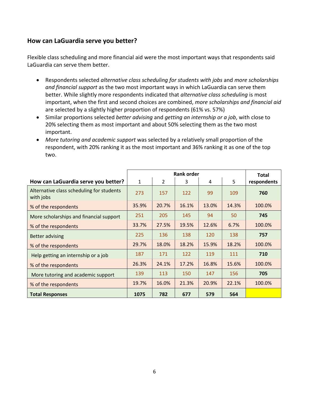#### **How can LaGuardia serve you better?**

Flexible class scheduling and more financial aid were the most important ways that respondents said LaGuardia can serve them better.

- Respondents selected *alternative class scheduling for students with jobs* and *more scholarships and financial support* as the two most important ways in which LaGuardia can serve them better. While slightly more respondents indicated that *alternative class scheduling* is most important, when the first and second choices are combined, *more scholarships and financial aid* are selected by a slightly higher proportion of respondents (61% vs. 57%)
- Similar proportions selected *better advising* and *getting an internship or a job*, with close to 20% selecting them as most important and about 50% selecting them as the two most important.
- *More tutoring and academic support* was selected by a relatively small proportion of the respondent, with 20% ranking it as the most important and 36% ranking it as one of the top two.

|                                                        |              | <b>Total</b>   |       |       |       |             |
|--------------------------------------------------------|--------------|----------------|-------|-------|-------|-------------|
| How can LaGuardia serve you better?                    | $\mathbf{1}$ | $\overline{2}$ | 3     | 4     | 5     | respondents |
| Alternative class scheduling for students<br>with jobs | 273          | 157            | 122   | 99    | 109   | 760         |
| % of the respondents                                   | 35.9%        | 20.7%          | 16.1% | 13.0% | 14.3% | 100.0%      |
| More scholarships and financial support                | 251          | 205            | 145   | 94    | 50    | 745         |
| % of the respondents                                   | 33.7%        | 27.5%          | 19.5% | 12.6% | 6.7%  | 100.0%      |
| <b>Better advising</b>                                 | 225          | 136            | 138   | 120   | 138   | 757         |
| % of the respondents                                   | 29.7%        | 18.0%          | 18.2% | 15.9% | 18.2% | 100.0%      |
| Help getting an internship or a job                    | 187          | 171            | 122   | 119   | 111   | 710         |
| % of the respondents                                   | 26.3%        | 24.1%          | 17.2% | 16.8% | 15.6% | 100.0%      |
| More tutoring and academic support                     | 139          | 113            | 150   | 147   | 156   | 705         |
| % of the respondents                                   | 19.7%        | 16.0%          | 21.3% | 20.9% | 22.1% | 100.0%      |
| <b>Total Responses</b>                                 | 1075         | 782            | 677   | 579   | 564   |             |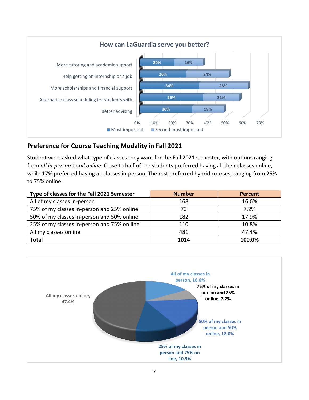

### **Preference for Course Teaching Modality in Fall 2021**

Student were asked what type of classes they want for the Fall 2021 semester, with options ranging from *all in-person* to *all online*. Close to half of the students preferred having all their classes online, while 17% preferred having all classes in-person. The rest preferred hybrid courses, ranging from 25% to 75% online.

| Type of classes for the Fall 2021 Semester  | <b>Number</b> | <b>Percent</b> |
|---------------------------------------------|---------------|----------------|
| All of my classes in-person                 | 168           | 16.6%          |
| 75% of my classes in-person and 25% online  | 73            | 7.2%           |
| 50% of my classes in-person and 50% online  | 182           | 17.9%          |
| 25% of my classes in-person and 75% on line | 110           | 10.8%          |
| All my classes online                       | 481           | 47.4%          |
| <b>Total</b>                                | 1014          | 100.0%         |

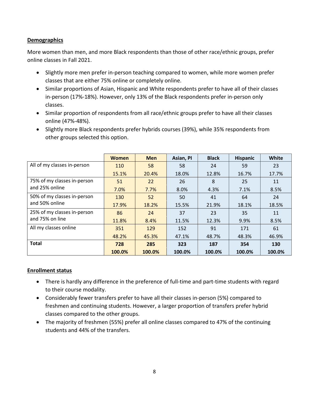#### **Demographics**

More women than men, and more Black respondents than those of other race/ethnic groups, prefer online classes in Fall 2021.

- Slightly more men prefer in-person teaching compared to women, while more women prefer classes that are either 75% online or completely online.
- Similar proportions of Asian, Hispanic and White respondents prefer to have all of their classes in-person (17%-18%). However, only 13% of the Black respondents prefer in-person only classes.
- Similar proportion of respondents from all race/ethnic groups prefer to have all their classes online (47%-48%).
- Slightly more Black respondents prefer hybrids courses (39%), while 35% respondents from other groups selected this option.

|                             | <b>Women</b> | <b>Men</b> | Asian, PI | <b>Black</b> | <b>Hispanic</b> | <b>White</b> |
|-----------------------------|--------------|------------|-----------|--------------|-----------------|--------------|
| All of my classes in-person | 110          | 58         | 58        | 24           | 59              | 23           |
|                             | 15.1%        | 20.4%      | 18.0%     | 12.8%        | 16.7%           | 17.7%        |
| 75% of my classes in-person | 51           | 22         | 26        | 8            | 25              | 11           |
| and 25% online              | 7.0%         | 7.7%       | 8.0%      | 4.3%         | 7.1%            | 8.5%         |
| 50% of my classes in-person | 130          | 52         | 50        | 41           | 64              | 24           |
| and 50% online              | 17.9%        | 18.2%      | 15.5%     | 21.9%        | 18.1%           | 18.5%        |
| 25% of my classes in-person | 86           | 24         | 37        | 23           | 35              | 11           |
| and 75% on line             | 11.8%        | 8.4%       | 11.5%     | 12.3%        | 9.9%            | 8.5%         |
| All my classes online       | 351          | 129        | 152       | 91           | 171             | 61           |
|                             | 48.2%        | 45.3%      | 47.1%     | 48.7%        | 48.3%           | 46.9%        |
| <b>Total</b>                | 728          | 285        | 323       | 187          | 354             | 130          |
|                             | 100.0%       | 100.0%     | 100.0%    | 100.0%       | 100.0%          | 100.0%       |

#### **Enrollment status**

- There is hardly any difference in the preference of full-time and part-time students with regard to their course modality.
- Considerably fewer transfers prefer to have all their classes in-person (5%) compared to freshmen and continuing students. However, a larger proportion of transfers prefer hybrid classes compared to the other groups.
- The majority of freshmen (55%) prefer all online classes compared to 47% of the continuing students and 44% of the transfers.